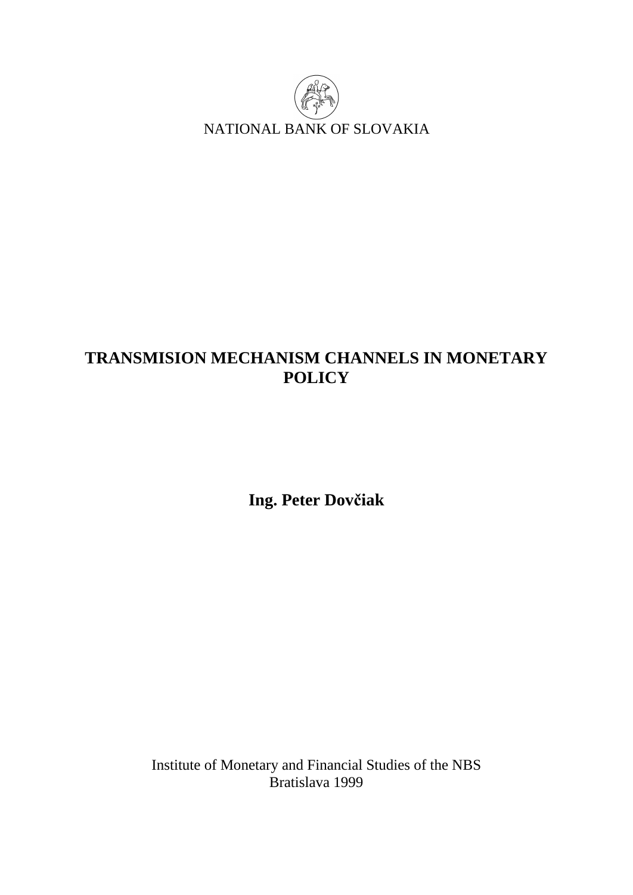

# **TRANSMISION MECHANISM CHANNELS IN MONETARY POLICY**

**Ing. Peter Dovčiak** 

Institute of Monetary and Financial Studies of the NBS Bratislava 1999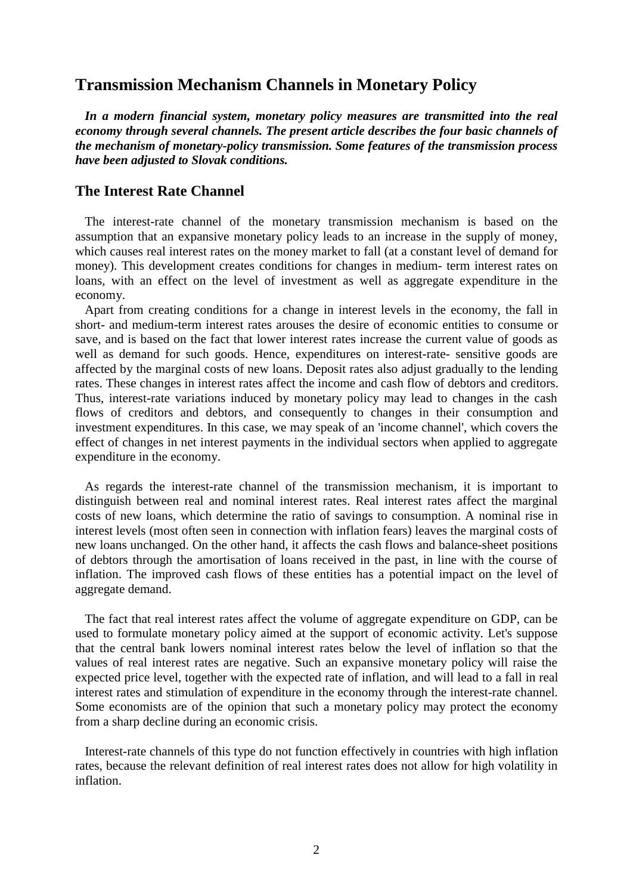# **Transmission Mechanism Channels in Monetary Policy**

 *In a modern financial system, monetary policy measures are transmitted into the real economy through several channels. The present article describes the four basic channels of the mechanism of monetary-policy transmission. Some features of the transmission process have been adjusted to Slovak conditions.*

## **The Interest Rate Channel**

 The interest-rate channel of the monetary transmission mechanism is based on the assumption that an expansive monetary policy leads to an increase in the supply of money, which causes real interest rates on the money market to fall (at a constant level of demand for money). This development creates conditions for changes in medium- term interest rates on loans, with an effect on the level of investment as well as aggregate expenditure in the economy.

 Apart from creating conditions for a change in interest levels in the economy, the fall in short- and medium-term interest rates arouses the desire of economic entities to consume or save, and is based on the fact that lower interest rates increase the current value of goods as well as demand for such goods. Hence, expenditures on interest-rate- sensitive goods are affected by the marginal costs of new loans. Deposit rates also adjust gradually to the lending rates. These changes in interest rates affect the income and cash flow of debtors and creditors. Thus, interest-rate variations induced by monetary policy may lead to changes in the cash flows of creditors and debtors, and consequently to changes in their consumption and investment expenditures. In this case, we may speak of an 'income channel', which covers the effect of changes in net interest payments in the individual sectors when applied to aggregate expenditure in the economy.

 As regards the interest-rate channel of the transmission mechanism, it is important to distinguish between real and nominal interest rates. Real interest rates affect the marginal costs of new loans, which determine the ratio of savings to consumption. A nominal rise in interest levels (most often seen in connection with inflation fears) leaves the marginal costs of new loans unchanged. On the other hand, it affects the cash flows and balance-sheet positions of debtors through the amortisation of loans received in the past, in line with the course of inflation. The improved cash flows of these entities has a potential impact on the level of aggregate demand.

 The fact that real interest rates affect the volume of aggregate expenditure on GDP, can be used to formulate monetary policy aimed at the support of economic activity. Let's suppose that the central bank lowers nominal interest rates below the level of inflation so that the values of real interest rates are negative. Such an expansive monetary policy will raise the expected price level, together with the expected rate of inflation, and will lead to a fall in real interest rates and stimulation of expenditure in the economy through the interest-rate channel. Some economists are of the opinion that such a monetary policy may protect the economy from a sharp decline during an economic crisis.

 Interest-rate channels of this type do not function effectively in countries with high inflation rates, because the relevant definition of real interest rates does not allow for high volatility in inflation.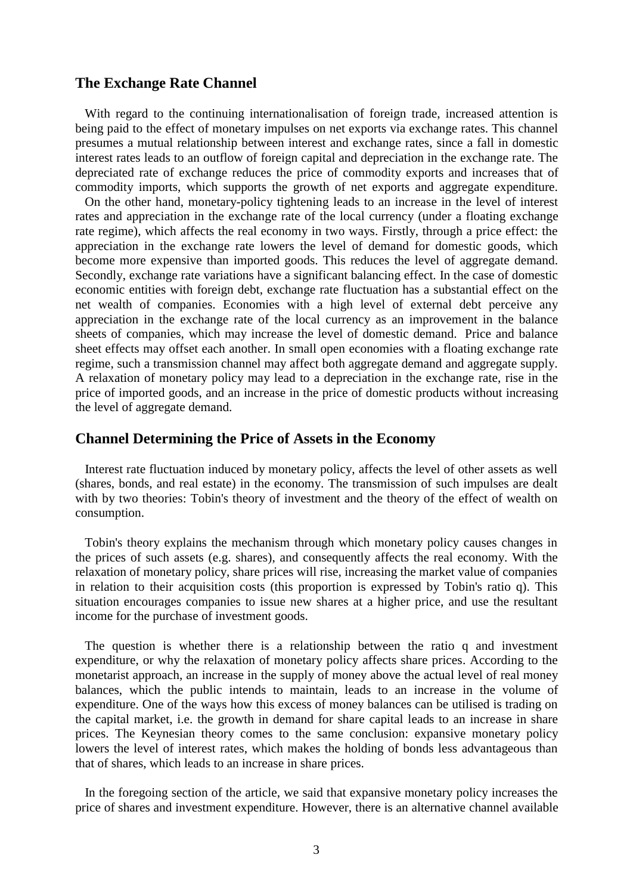#### **The Exchange Rate Channel**

 With regard to the continuing internationalisation of foreign trade, increased attention is being paid to the effect of monetary impulses on net exports via exchange rates. This channel presumes a mutual relationship between interest and exchange rates, since a fall in domestic interest rates leads to an outflow of foreign capital and depreciation in the exchange rate. The depreciated rate of exchange reduces the price of commodity exports and increases that of commodity imports, which supports the growth of net exports and aggregate expenditure.

 On the other hand, monetary-policy tightening leads to an increase in the level of interest rates and appreciation in the exchange rate of the local currency (under a floating exchange rate regime), which affects the real economy in two ways. Firstly, through a price effect: the appreciation in the exchange rate lowers the level of demand for domestic goods, which become more expensive than imported goods. This reduces the level of aggregate demand. Secondly, exchange rate variations have a significant balancing effect. In the case of domestic economic entities with foreign debt, exchange rate fluctuation has a substantial effect on the net wealth of companies. Economies with a high level of external debt perceive any appreciation in the exchange rate of the local currency as an improvement in the balance sheets of companies, which may increase the level of domestic demand. Price and balance sheet effects may offset each another. In small open economies with a floating exchange rate regime, such a transmission channel may affect both aggregate demand and aggregate supply. A relaxation of monetary policy may lead to a depreciation in the exchange rate, rise in the price of imported goods, and an increase in the price of domestic products without increasing the level of aggregate demand.

#### **Channel Determining the Price of Assets in the Economy**

 Interest rate fluctuation induced by monetary policy, affects the level of other assets as well (shares, bonds, and real estate) in the economy. The transmission of such impulses are dealt with by two theories: Tobin's theory of investment and the theory of the effect of wealth on consumption.

 Tobin's theory explains the mechanism through which monetary policy causes changes in the prices of such assets (e.g. shares), and consequently affects the real economy. With the relaxation of monetary policy, share prices will rise, increasing the market value of companies in relation to their acquisition costs (this proportion is expressed by Tobin's ratio q). This situation encourages companies to issue new shares at a higher price, and use the resultant income for the purchase of investment goods.

 The question is whether there is a relationship between the ratio q and investment expenditure, or why the relaxation of monetary policy affects share prices. According to the monetarist approach, an increase in the supply of money above the actual level of real money balances, which the public intends to maintain, leads to an increase in the volume of expenditure. One of the ways how this excess of money balances can be utilised is trading on the capital market, i.e. the growth in demand for share capital leads to an increase in share prices. The Keynesian theory comes to the same conclusion: expansive monetary policy lowers the level of interest rates, which makes the holding of bonds less advantageous than that of shares, which leads to an increase in share prices.

 In the foregoing section of the article, we said that expansive monetary policy increases the price of shares and investment expenditure. However, there is an alternative channel available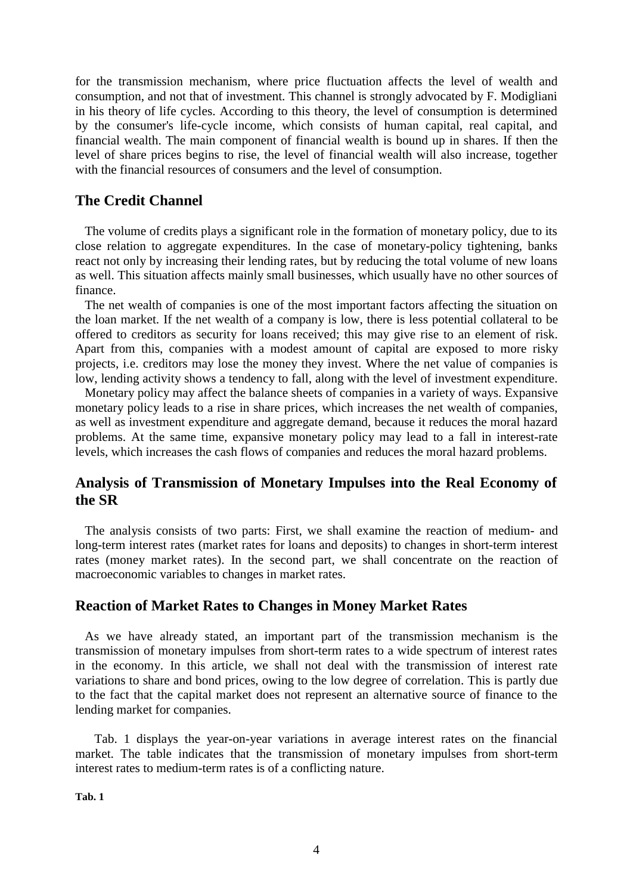for the transmission mechanism, where price fluctuation affects the level of wealth and consumption, and not that of investment. This channel is strongly advocated by F. Modigliani in his theory of life cycles. According to this theory, the level of consumption is determined by the consumer's life-cycle income, which consists of human capital, real capital, and financial wealth. The main component of financial wealth is bound up in shares. If then the level of share prices begins to rise, the level of financial wealth will also increase, together with the financial resources of consumers and the level of consumption.

# **The Credit Channel**

 The volume of credits plays a significant role in the formation of monetary policy, due to its close relation to aggregate expenditures. In the case of monetary-policy tightening, banks react not only by increasing their lending rates, but by reducing the total volume of new loans as well. This situation affects mainly small businesses, which usually have no other sources of finance.

 The net wealth of companies is one of the most important factors affecting the situation on the loan market. If the net wealth of a company is low, there is less potential collateral to be offered to creditors as security for loans received; this may give rise to an element of risk. Apart from this, companies with a modest amount of capital are exposed to more risky projects, i.e. creditors may lose the money they invest. Where the net value of companies is low, lending activity shows a tendency to fall, along with the level of investment expenditure.

 Monetary policy may affect the balance sheets of companies in a variety of ways. Expansive monetary policy leads to a rise in share prices, which increases the net wealth of companies, as well as investment expenditure and aggregate demand, because it reduces the moral hazard problems. At the same time, expansive monetary policy may lead to a fall in interest-rate levels, which increases the cash flows of companies and reduces the moral hazard problems.

# **Analysis of Transmission of Monetary Impulses into the Real Economy of the SR**

 The analysis consists of two parts: First, we shall examine the reaction of medium- and long-term interest rates (market rates for loans and deposits) to changes in short-term interest rates (money market rates). In the second part, we shall concentrate on the reaction of macroeconomic variables to changes in market rates.

# **Reaction of Market Rates to Changes in Money Market Rates**

 As we have already stated, an important part of the transmission mechanism is the transmission of monetary impulses from short-term rates to a wide spectrum of interest rates in the economy. In this article, we shall not deal with the transmission of interest rate variations to share and bond prices, owing to the low degree of correlation. This is partly due to the fact that the capital market does not represent an alternative source of finance to the lending market for companies.

 Tab. 1 displays the year-on-year variations in average interest rates on the financial market. The table indicates that the transmission of monetary impulses from short-term interest rates to medium-term rates is of a conflicting nature.

**Tab. 1**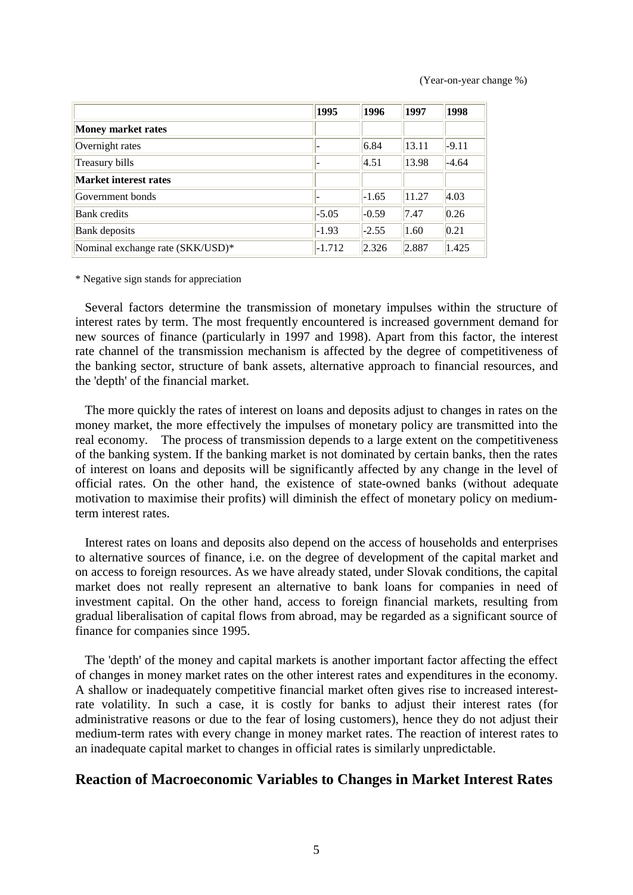(Year-on-year change %)

|                                  | 1995     | 1996    | 1997  | 1998    |
|----------------------------------|----------|---------|-------|---------|
| Money market rates               |          |         |       |         |
| Overnight rates                  |          | 6.84    | 13.11 | $-9.11$ |
| Treasury bills                   |          | 4.51    | 13.98 | $-4.64$ |
| Market interest rates            |          |         |       |         |
| Government bonds                 |          | $-1.65$ | 11.27 | 4.03    |
| <b>Bank</b> credits              | $-5.05$  | $-0.59$ | 7.47  | 0.26    |
| <b>Bank</b> deposits             | $-1.93$  | $-2.55$ | 1.60  | 0.21    |
| Nominal exchange rate (SKK/USD)* | $-1.712$ | 2.326   | 2.887 | 1.425   |

\* Negative sign stands for appreciation

 Several factors determine the transmission of monetary impulses within the structure of interest rates by term. The most frequently encountered is increased government demand for new sources of finance (particularly in 1997 and 1998). Apart from this factor, the interest rate channel of the transmission mechanism is affected by the degree of competitiveness of the banking sector, structure of bank assets, alternative approach to financial resources, and the 'depth' of the financial market.

 The more quickly the rates of interest on loans and deposits adjust to changes in rates on the money market, the more effectively the impulses of monetary policy are transmitted into the real economy. The process of transmission depends to a large extent on the competitiveness of the banking system. If the banking market is not dominated by certain banks, then the rates of interest on loans and deposits will be significantly affected by any change in the level of official rates. On the other hand, the existence of state-owned banks (without adequate motivation to maximise their profits) will diminish the effect of monetary policy on mediumterm interest rates.

 Interest rates on loans and deposits also depend on the access of households and enterprises to alternative sources of finance, i.e. on the degree of development of the capital market and on access to foreign resources. As we have already stated, under Slovak conditions, the capital market does not really represent an alternative to bank loans for companies in need of investment capital. On the other hand, access to foreign financial markets, resulting from gradual liberalisation of capital flows from abroad, may be regarded as a significant source of finance for companies since 1995.

 The 'depth' of the money and capital markets is another important factor affecting the effect of changes in money market rates on the other interest rates and expenditures in the economy. A shallow or inadequately competitive financial market often gives rise to increased interestrate volatility. In such a case, it is costly for banks to adjust their interest rates (for administrative reasons or due to the fear of losing customers), hence they do not adjust their medium-term rates with every change in money market rates. The reaction of interest rates to an inadequate capital market to changes in official rates is similarly unpredictable.

#### **Reaction of Macroeconomic Variables to Changes in Market Interest Rates**